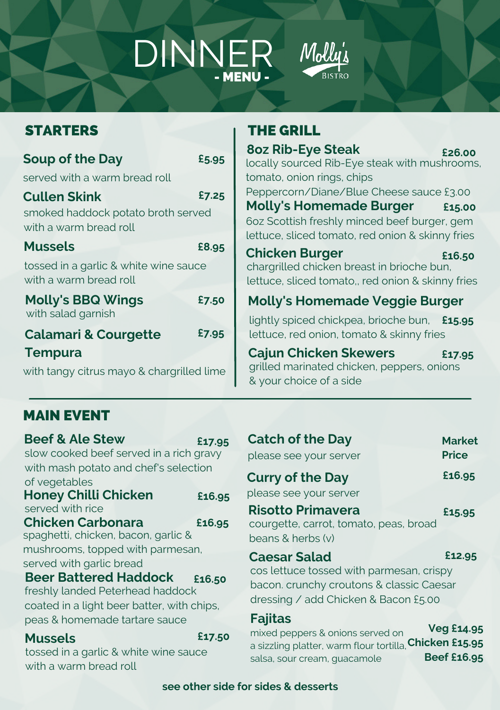# DINNER



## STARTERS

| Soup of the Day                                                                     | £5.95 |  |
|-------------------------------------------------------------------------------------|-------|--|
| served with a warm bread roll                                                       |       |  |
| <b>Cullen Skink</b><br>smoked haddock potato broth served<br>with a warm bread roll | £7.25 |  |
| <b>Mussels</b>                                                                      | £8.95 |  |
| tossed in a garlic & white wine sauce<br>with a warm bread roll                     |       |  |
| <b>Molly's BBQ Wings</b><br>with salad garnish                                      | £7.50 |  |
| <b>Calamari &amp; Courgette</b>                                                     | £7.95 |  |
| <b>Tempura</b>                                                                      |       |  |
| with tangy citrus mayo & chargrilled lime                                           |       |  |

#### THE GRILL

**8oz Rib-Eye Steak** locally sourced Rib-Eye steak with mushrooms, tomato, onion rings, chips Peppercorn/Diane/Blue Cheese sauce £3.00 **Molly's Homemade Burger** 6oz Scottish freshly minced beef burger, gem lettuce, sliced tomato, red onion & skinny fries **Molly's Homemade Veggie Burger Chicken Burger** chargrilled chicken breast in brioche bun, lettuce, sliced tomato,, red onion & skinny fries **£26.00 £15.00 £16.50**

lightly spiced chickpea, brioche bun, **£15.95** lettuce, red onion, tomato & skinny fries

**Cajun Chicken Skewers** grilled marinated chicken, peppers, onions & your choice of a side **£17.95**

# MAIN EVENT

| <b>Beef &amp; Ale Stew</b>                                      | £17.95 |  |
|-----------------------------------------------------------------|--------|--|
| slow cooked beef served in a rich gravy                         |        |  |
| with mash potato and chef's selection                           |        |  |
| of vegetables                                                   |        |  |
| <b>Honey Chilli Chicken</b>                                     | £16.95 |  |
| served with rice                                                |        |  |
| <b>Chicken Carbonara</b>                                        | £16.95 |  |
| spaghetti, chicken, bacon, garlic &                             |        |  |
| mushrooms, topped with parmesan,                                |        |  |
| served with garlic bread                                        |        |  |
| <b>Beer Battered Haddock</b>                                    | £16.50 |  |
| freshly landed Peterhead haddock                                |        |  |
| coated in a light beer batter, with chips,                      |        |  |
| peas & homemade tartare sauce                                   |        |  |
| <b>Mussels</b>                                                  | £17.50 |  |
|                                                                 |        |  |
|                                                                 |        |  |
| tossed in a garlic & white wine sauce<br>with a warm bread roll |        |  |

| <b>Catch of the Day</b><br>please see your server                                                                                                   | <b>Market</b><br><b>Price</b> |
|-----------------------------------------------------------------------------------------------------------------------------------------------------|-------------------------------|
| <b>Curry of the Day</b><br>please see your server                                                                                                   | £16.95                        |
| <b>Risotto Primavera</b><br>courgette, carrot, tomato, peas, broad<br>beans & herbs (v)                                                             | £15.95                        |
| <b>Caesar Salad</b><br>cos lettuce tossed with parmesan, crispy<br>bacon. crunchy croutons & classic Caesar<br>dressing / add Chicken & Bacon £5.00 | £12.95                        |
| <b>Fajitas</b><br>mixed peppers & onions served on<br>a cizzling platter warm flour textilla Chicken £15.95                                         | <b>Veg £14.95</b>             |

a sizzling platter, warm flour tortilla, salsa, sour cream, guacamole **Chicken £15.95 Beef £16.95**

#### **see other side for sides & desserts**